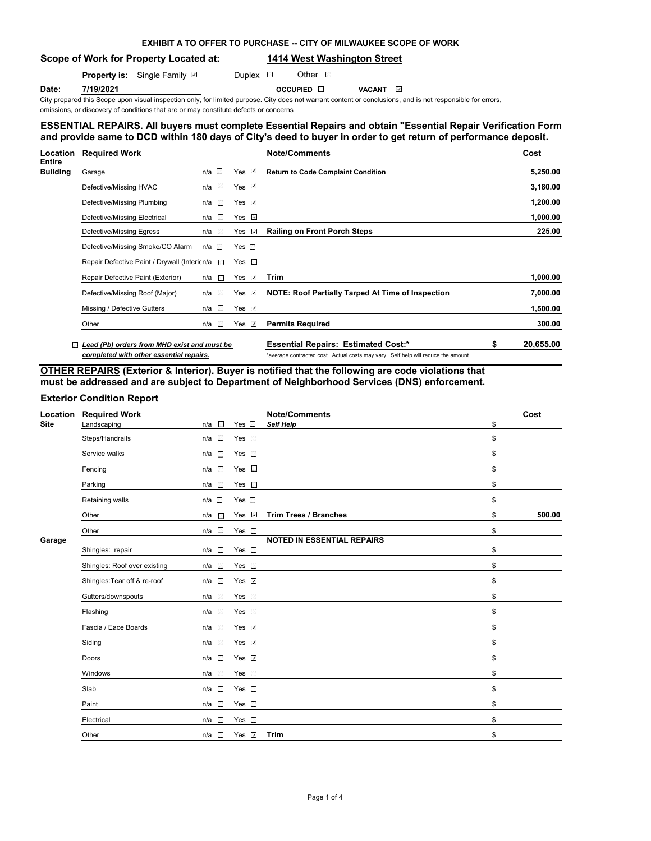# **EXHIBIT A TO OFFER TO PURCHASE -- CITY OF MILWAUKEE SCOPE OF WORK**

# **Scope of Work for Property Located at: 1414 West Washington Street**

**Property is:** Single Family **D** Duplex **D** Other D

**Date: 7/19/2021 OCCUPIED D VACANT D** 

City prepared this Scope upon visual inspection only, for limited purpose. City does not warrant content or conclusions, and is not responsible for errors,

# omissions, or discovery of conditions that are or may constitute defects or concerns

## **ESSENTIAL REPAIRS. All buyers must complete Essential Repairs and obtain "Essential Repair Verification Form" and provide same to DCD within 180 days of City's deed to buyer in order to get return of performance deposit.**

| Location                         | <b>Required Work</b>                                |                   |                              | <b>Note/Comments</b>                                                               |    | Cost      |
|----------------------------------|-----------------------------------------------------|-------------------|------------------------------|------------------------------------------------------------------------------------|----|-----------|
| <b>Entire</b><br><b>Building</b> | Garage                                              | n/a $\square$     | Yes ⊻                        | <b>Return to Code Complaint Condition</b>                                          |    | 5,250.00  |
|                                  | Defective/Missing HVAC                              | n/a $\square$     | Yes $\overline{\mathscr{L}}$ |                                                                                    |    | 3,180.00  |
|                                  | Defective/Missing Plumbing                          | n/a<br>$\sim$ 100 | Yes $\Box$                   |                                                                                    |    | 1,200.00  |
|                                  | Defective/Missing Electrical                        | n/a □             | Yes $\sqrt{ }$               |                                                                                    |    | 1,000.00  |
|                                  | Defective/Missing Egress                            | n/a □             | $\omega$<br>Yes              | <b>Railing on Front Porch Steps</b>                                                |    | 225.00    |
|                                  | Defective/Missing Smoke/CO Alarm                    | n/a □             | $Yes \Box$                   |                                                                                    |    |           |
|                                  | Repair Defective Paint / Drywall (Intericn/a $\Box$ |                   | Yes $\square$                |                                                                                    |    |           |
|                                  | Repair Defective Paint (Exterior)                   | $\sim$<br>n/a     | Yes $\Box$                   | Trim                                                                               |    | 1,000.00  |
|                                  | Defective/Missing Roof (Major)                      | $n/a$ $\Box$      | Yes $\sqrt{2}$               | NOTE: Roof Partially Tarped At Time of Inspection                                  |    | 7,000.00  |
|                                  | Missing / Defective Gutters                         | n/a □             | Yes $\sqrt{2}$               |                                                                                    |    | 1,500.00  |
|                                  | Other                                               | n/a □             | Yes $\sqrt{ }$               | <b>Permits Required</b>                                                            |    | 300.00    |
|                                  | Lead (Pb) orders from MHD exist and must be         |                   |                              | <b>Essential Repairs: Estimated Cost:*</b>                                         | \$ | 20,655.00 |
|                                  | completed with other essential repairs.             |                   |                              | *average contracted cost. Actual costs may vary. Self help will reduce the amount. |    |           |

**OTHER REPAIRS (Exterior & Interior). Buyer is notified that the following are code violations that must be addressed and are subject to Department of Neighborhood Services (DNS) enforcement.**

# **Exterior Condition Report**

| Location<br><b>Site</b> | <b>Required Work</b><br>Landscaping | $n/a$ $\square$ | Yes $\square$      | <b>Note/Comments</b><br><b>Self Help</b> | \$<br>Cost   |
|-------------------------|-------------------------------------|-----------------|--------------------|------------------------------------------|--------------|
|                         | Steps/Handrails                     | $n/a$ $\square$ | Yes $\square$      |                                          | \$           |
|                         | Service walks                       | n/a □           | Yes $\square$      |                                          | \$           |
|                         | Fencing                             | $n/a$ $\square$ | Yes $\square$      |                                          | \$           |
|                         | Parking                             | n/a □           | Yes $\square$      |                                          | \$           |
|                         | Retaining walls                     | $n/a$ $\square$ | Yes $\square$      |                                          | \$           |
|                         | Other                               | $n/a$ $\Box$    | Yes V              | <b>Trim Trees / Branches</b>             | \$<br>500.00 |
|                         | Other                               | $n/a$ $\Box$    | Yes $\square$      |                                          | \$           |
| Garage                  | Shingles: repair                    | $n/a$ $\square$ | Yes $\square$      | <b>NOTED IN ESSENTIAL REPAIRS</b>        | \$           |
|                         | Shingles: Roof over existing        | $n/a$ $\square$ | Yes $\square$      |                                          | \$           |
|                         | Shingles: Tear off & re-roof        | $n/a$ $\square$ | Yes <b>☑</b>       |                                          | \$           |
|                         | Gutters/downspouts                  | $n/a$ $\square$ | Yes $\square$      |                                          | \$           |
|                         | Flashing                            | n/a<br>Л        | Yes $\square$      |                                          | \$           |
|                         | Fascia / Eace Boards                | $n/a$ $\square$ | Yes $\overline{v}$ |                                          | \$           |
|                         | Siding                              | $n/a$ $\square$ | Yes $\overline{v}$ |                                          | \$           |
|                         | Doors                               | $n/a$ $\square$ | Yes <b>☑</b>       |                                          | \$           |
|                         | Windows                             | $\sim$<br>n/a   | Yes $\square$      |                                          | \$           |
|                         | Slab                                | $n/a$ $\square$ | Yes $\square$      |                                          | \$           |
|                         | Paint                               | $n/a$ $\square$ | Yes $\square$      |                                          | \$           |
|                         | Electrical                          | n/a<br>$\sim$   | Yes $\square$      |                                          | \$           |
|                         | Other                               | n/a □           | Yes <b>☑</b>       | <b>Trim</b>                              | \$           |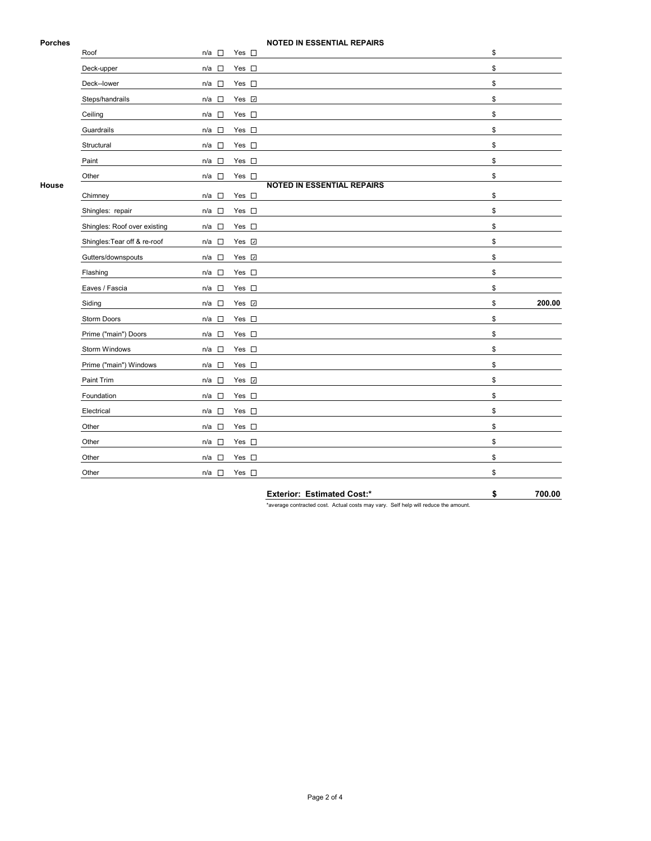## **Porches NOTED IN ESSENTIAL REPAIRS**

|       | Roof                         | n/a □                              | Yes $\square$      |                                   | \$           |
|-------|------------------------------|------------------------------------|--------------------|-----------------------------------|--------------|
|       | Deck-upper                   | n/a<br>$\sim$                      | Yes $\square$      |                                   | \$           |
|       | Deck--lower                  | $\mathcal{L}$<br>n/a               | Yes $\square$      |                                   | \$           |
|       | Steps/handrails              | n/a                                | Yes $\overline{v}$ |                                   | \$           |
|       | Ceiling                      | n/a<br>$\sim$                      | Yes $\square$      |                                   | \$           |
|       | Guardrails                   | $\sim$<br>n/a                      | Yes $\square$      |                                   | \$           |
|       | Structural                   | $n/a$ $\square$                    | Yes $\square$      |                                   | \$           |
|       | Paint                        | $n/a$ $\square$                    | Yes $\square$      |                                   | \$           |
|       | Other                        | n/a<br>П                           | Yes $\square$      |                                   | \$           |
| House | Chimney                      | $n/a$ $\square$                    | Yes $\square$      | <b>NOTED IN ESSENTIAL REPAIRS</b> | \$           |
|       | Shingles: repair             | $n/a$ $\square$                    | Yes $\square$      |                                   | \$           |
|       | Shingles: Roof over existing | $\mathcal{L}_{\mathcal{A}}$<br>n/a | Yes $\square$      |                                   | \$           |
|       | Shingles: Tear off & re-roof | $n/a$ $\square$                    | Yes v              |                                   | \$           |
|       | Gutters/downspouts           | n/a<br>$\sim$                      | Yes v              |                                   | \$           |
|       | Flashing                     | $\overline{\phantom{a}}$<br>n/a    | Yes $\square$      |                                   | \$           |
|       | Eaves / Fascia               | $n/a$ $\square$                    | Yes $\square$      |                                   | \$           |
|       | Siding                       | $n/a$ $\square$                    | Yes v              |                                   | \$<br>200.00 |
|       | Storm Doors                  | n/a<br>$\Box$                      | Yes $\square$      |                                   | \$           |
|       | Prime ("main") Doors         | $n/a$ $\square$                    | Yes $\square$      |                                   | \$           |
|       | Storm Windows                | n/a<br>$\overline{\phantom{a}}$    | Yes $\square$      |                                   | \$           |
|       | Prime ("main") Windows       | n/a<br>$\Box$                      | Yes $\square$      |                                   | \$           |
|       | Paint Trim                   | $n/a$ $\square$                    | Yes v              |                                   | \$           |
|       | Foundation                   | $n/a$ $\square$                    | Yes $\square$      |                                   | \$           |
|       | Electrical                   | $\Box$<br>n/a                      | Yes $\square$      |                                   | \$           |
|       | Other                        | $\sim$<br>n/a                      | Yes $\square$      |                                   | \$           |
|       | Other                        | $n/a$ $\square$                    | Yes $\square$      |                                   | \$           |
|       | Other                        | $\mathcal{L}_{\mathcal{A}}$<br>n/a | Yes $\square$      |                                   | \$           |
|       | Other                        | $n/a$ $\square$                    | Yes $\square$      |                                   | \$           |
|       |                              |                                    |                    |                                   |              |

**Exterior: Estimated Cost:\* \$ 700.00**

\*average contracted cost. Actual costs may vary. Self help will reduce the amount.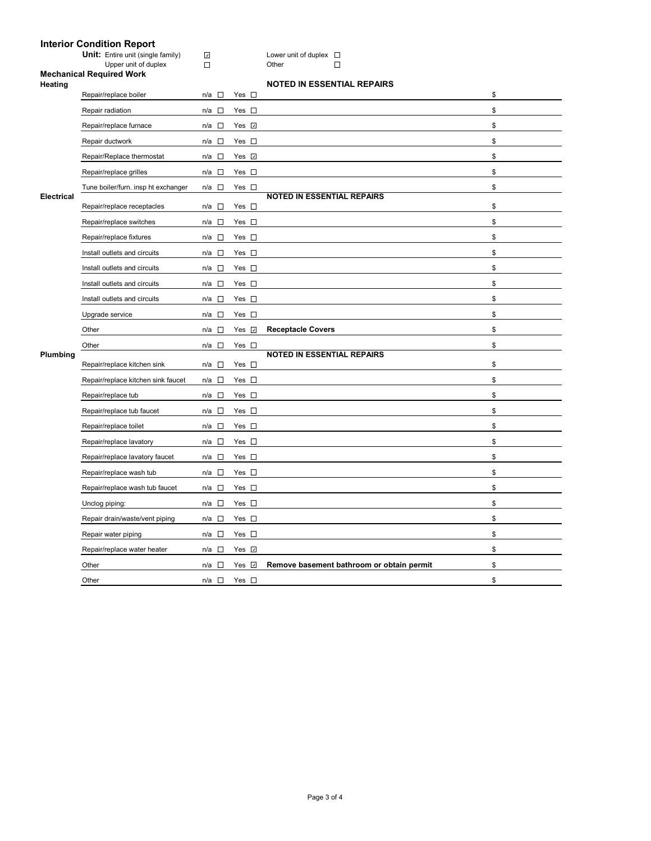## **Interior Condition Report**

**Unit:** Entire unit (single family)  $\Box$  **Lower unit of duplex** 

### Upper unit of duplex Domeston Communication Communication Communication Communication Communication Communication Communication Communication Communication Communication Communication Communication Communication Communicat **Mechanical Required Work**

|  | MOTED IN ECCENTIAL BEDAIL |  |  |
|--|---------------------------|--|--|
|  |                           |  |  |

|                                     |                                    |               | <b>NOTED IN ESSENTIAL REPAIRS</b>         |                                                                        |  |
|-------------------------------------|------------------------------------|---------------|-------------------------------------------|------------------------------------------------------------------------|--|
| Repair/replace boiler               | $\mathbb{R}^n$<br>n/a              | Yes $\square$ |                                           | \$                                                                     |  |
| Repair radiation                    | $n/a$ $\square$                    | Yes $\square$ |                                           | \$                                                                     |  |
| Repair/replace furnace              | $\sim$<br>n/a                      | Yes <b>☑</b>  |                                           | \$                                                                     |  |
| Repair ductwork                     | $n/a$ $\square$                    | Yes $\square$ |                                           | \$                                                                     |  |
| Repair/Replace thermostat           | $\Box$<br>n/a                      | Yes <b>☑</b>  |                                           | \$                                                                     |  |
| Repair/replace grilles              | $\overline{\phantom{a}}$<br>n/a    | Yes $\square$ |                                           | \$                                                                     |  |
| Tune boiler/furn. insp ht exchanger | n/a $\square$                      | Yes $\square$ |                                           | \$                                                                     |  |
| Repair/replace receptacles          | $n/a$ $\square$                    | Yes $\square$ |                                           | \$                                                                     |  |
| Repair/replace switches             | $\Box$<br>n/a                      | Yes $\square$ |                                           | \$                                                                     |  |
| Repair/replace fixtures             | $\Box$<br>n/a                      | Yes $\square$ |                                           | \$                                                                     |  |
| Install outlets and circuits        | $\overline{\phantom{a}}$<br>n/a    | Yes $\square$ |                                           | \$                                                                     |  |
| Install outlets and circuits        | $\overline{\phantom{a}}$<br>n/a    | Yes $\square$ |                                           | \$                                                                     |  |
| Install outlets and circuits        | $\Box$<br>n/a                      | Yes $\square$ |                                           | \$                                                                     |  |
| Install outlets and circuits        | $\Box$<br>n/a                      | Yes $\square$ |                                           | \$                                                                     |  |
| Upgrade service                     | n/a<br>$\mathbf{r}$                | Yes $\square$ |                                           | \$                                                                     |  |
| Other                               | $\Box$<br>n/a                      | Yes V         | <b>Receptacle Covers</b>                  | \$                                                                     |  |
| Other                               | $n/a$ $\square$                    | Yes $\square$ |                                           | \$                                                                     |  |
| Repair/replace kitchen sink         | $\mathcal{L}_{\mathcal{A}}$<br>n/a | Yes $\square$ |                                           | \$                                                                     |  |
| Repair/replace kitchen sink faucet  | n/a<br>$\Box$                      | Yes $\square$ |                                           | \$                                                                     |  |
| Repair/replace tub                  | $\overline{\phantom{a}}$<br>n/a    | Yes $\square$ |                                           | \$                                                                     |  |
| Repair/replace tub faucet           | $n/a$ $\square$                    | Yes $\square$ |                                           | \$                                                                     |  |
| Repair/replace toilet               | $n/a$ $\square$                    | Yes $\square$ |                                           | \$                                                                     |  |
| Repair/replace lavatory             | $\Box$<br>n/a                      | Yes $\square$ |                                           | \$                                                                     |  |
| Repair/replace lavatory faucet      | $\overline{\phantom{a}}$<br>n/a    | Yes $\square$ |                                           | \$                                                                     |  |
| Repair/replace wash tub             | $\overline{\phantom{a}}$<br>n/a    | Yes $\square$ |                                           | \$                                                                     |  |
| Repair/replace wash tub faucet      | $n/a$ $\square$                    | Yes $\square$ |                                           | \$                                                                     |  |
| Unclog piping:                      | □<br>n/a                           | Yes $\square$ |                                           | \$                                                                     |  |
| Repair drain/waste/vent piping      | $n/a$ $\square$                    | Yes $\square$ |                                           | \$                                                                     |  |
| Repair water piping                 | $n/a$ $\square$                    | Yes $\square$ |                                           | \$                                                                     |  |
| Repair/replace water heater         | $n/a$ $\square$                    | Yes <b>☑</b>  |                                           | \$                                                                     |  |
| Other                               | $\sim$<br>n/a                      | Yes $\Box$    | Remove basement bathroom or obtain permit | \$                                                                     |  |
| Other                               | $n/a$ $\square$                    | Yes $\square$ |                                           | \$                                                                     |  |
|                                     |                                    |               |                                           | <b>NOTED IN ESSENTIAL REPAIRS</b><br><b>NOTED IN ESSENTIAL REPAIRS</b> |  |